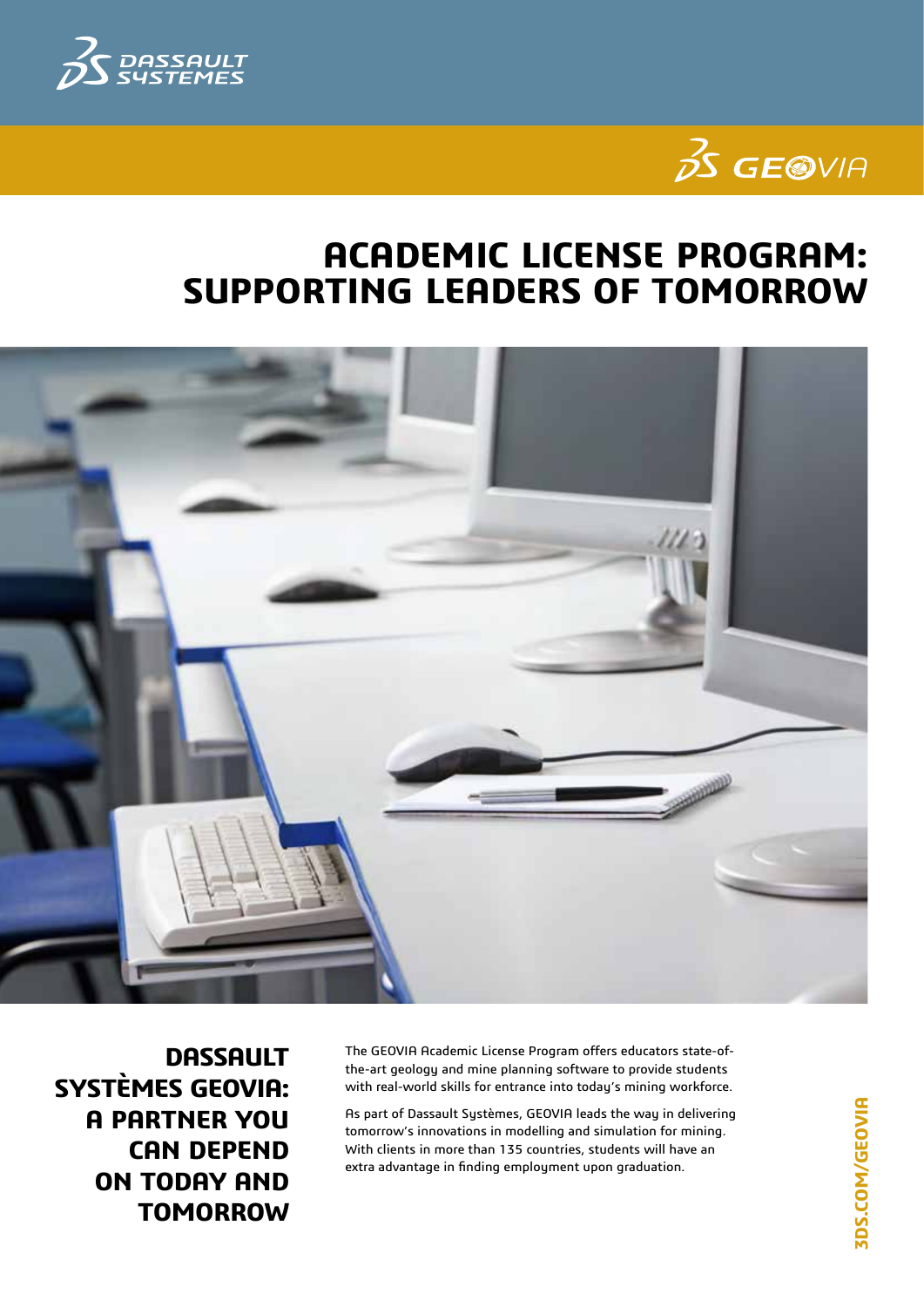



## **Academic License Program: Supporting Leaders of Tomorrow**



**Dassault Systèmes GEOVIA: A PARTNER YOU CAN DEPEND ON TODAY AND TOMORROW**

The GEOVIA Academic License Program offers educators state-ofthe-art geology and mine planning software to provide students with real-world skills for entrance into today's mining workforce.

As part of Dassault Systèmes, GEOVIA leads the way in delivering tomorrow's innovations in modelling and simulation for mining. With clients in more than 135 countries, students will have an extra advantage in finding employment upon graduation.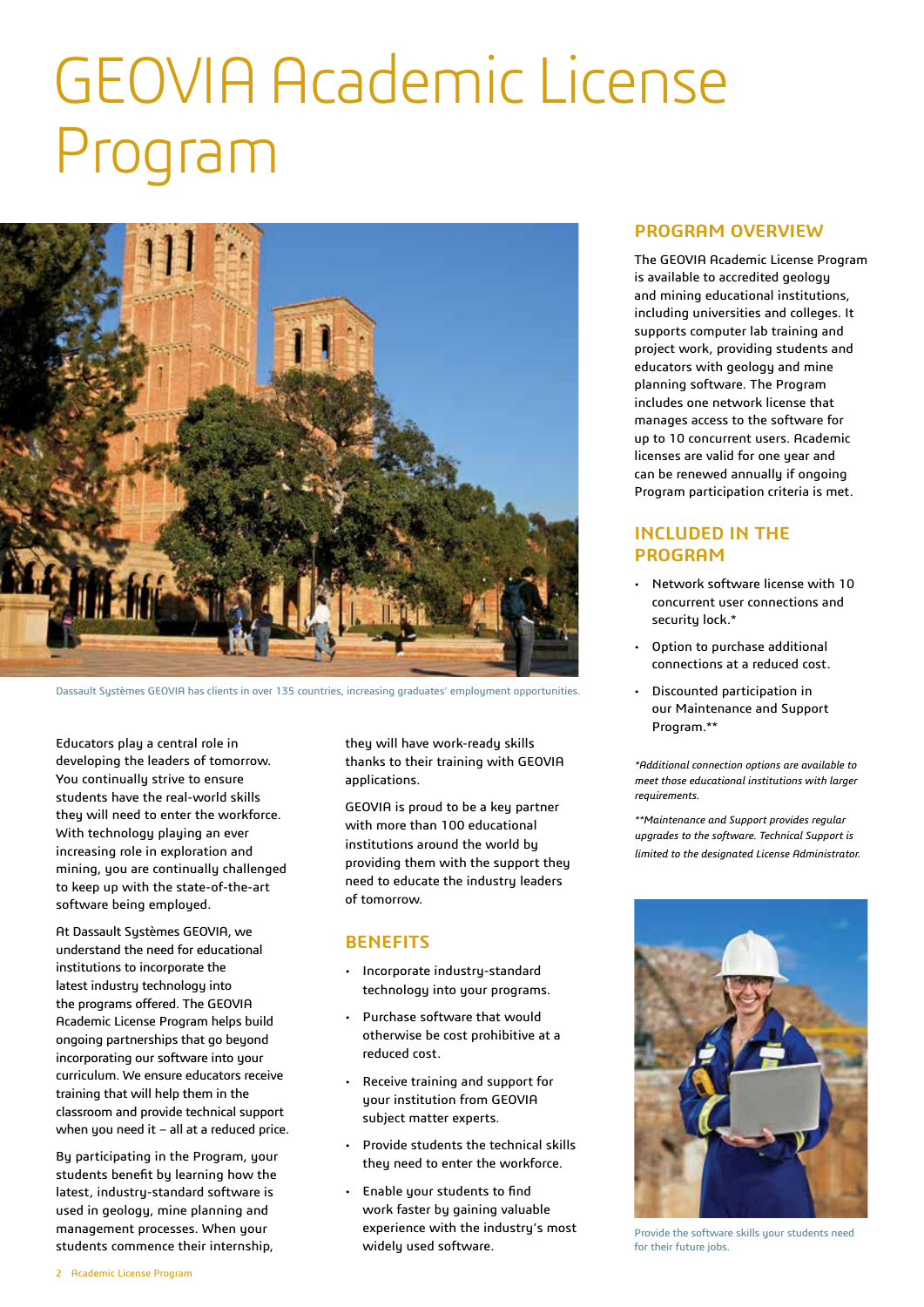# GEOVIA Academic License Program



Dassault Systèmes GEOVIA has clients in over 135 countries, increasing graduates' employment opportunities.

Educators play a central role in developing the leaders of tomorrow. You continually strive to ensure students have the real-world skills they will need to enter the workforce. With technology playing an ever increasing role in exploration and mining, you are continually challenged to keep up with the state-of-the-art software being employed.

At Dassault Systèmes GEOVIA, we understand the need for educational institutions to incorporate the latest industry technology into the programs offered. The GEOVIA Academic License Program helps build ongoing partnerships that go beyond incorporating our software into your curriculum. We ensure educators receive training that will help them in the classroom and provide technical support when you need it - all at a reduced price.

By participating in the Program, your students benefit by learning how the latest, industry-standard software is used in geology, mine planning and management processes. When your students commence their internship,

they will have work-ready skills thanks to their training with GEOVIA applications.

GEOVIA is proud to be a key partner with more than 100 educational institutions around the world by providing them with the support they need to educate the industry leaders of tomorrow.

#### **Benefits**

- • Incorporate industry-standard technology into your programs.
- • Purchase software that would otherwise be cost prohibitive at a reduced cost.
- Receive training and support for your institution from GEOVIA subject matter experts.
- Provide students the technical skills they need to enter the workforce.
- • Enable your students to find work faster by gaining valuable experience with the industry's most widely used software.

#### **Program Overview**

The GEOVIA Academic License Program is available to accredited geology and mining educational institutions, including universities and colleges. It supports computer lab training and project work, providing students and educators with geology and mine planning software. The Program includes one network license that manages access to the software for up to 10 concurrent users. Academic licenses are valid for one year and can be renewed annually if ongoing Program participation criteria is met.

#### **Included in the program**

- Network software license with 10 concurrent user connections and securitu lock.<sup>\*</sup>
- Option to purchase additional connections at a reduced cost.
- • Discounted participation in our Maintenance and Support Program.\*\*

*\*Additional connection options are available to meet those educational institutions with larger requirements.*

*\*\*Maintenance and Support provides regular upgrades to the software. Technical Support is limited to the designated License Administrator.* 



Provide the software skills your students need for their future jobs.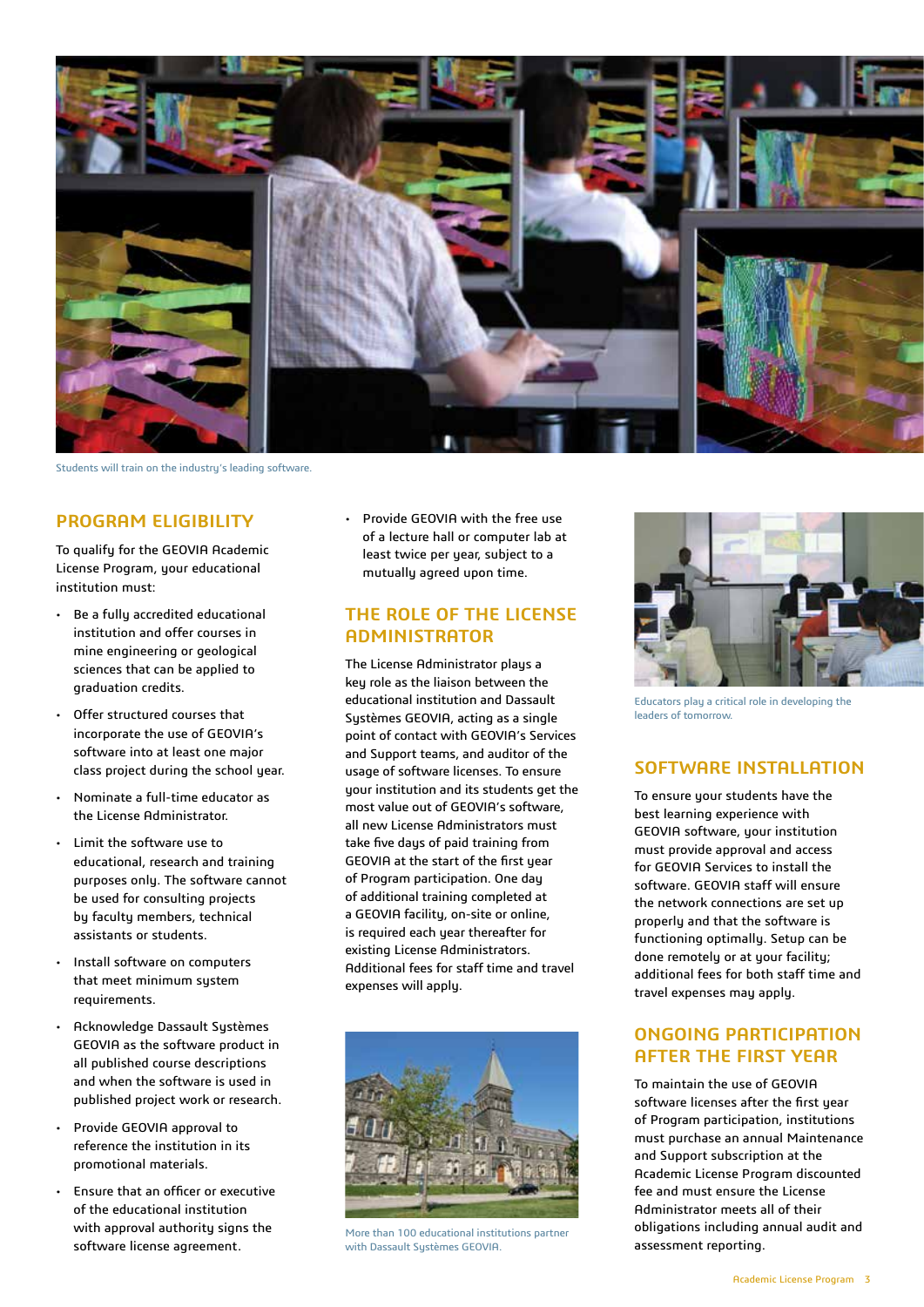

Students will train on the industry's leading software.

#### **Program Eligibility**

To qualify for the GEOVIA Academic License Program, your educational institution must:

- • Be a fully accredited educational institution and offer courses in mine engineering or geological sciences that can be applied to graduation credits.
- Offer structured courses that incorporate the use of GEOVIA's software into at least one major class project during the school year.
- Nominate a full-time educator as the License Administrator.
- • Limit the software use to educational, research and training purposes only. The software cannot be used for consulting projects by faculty members, technical assistants or students.
- • Install software on computers that meet minimum system requirements.
- Acknowledge Dassault Systèmes GEOVIA as the software product in all published course descriptions and when the software is used in published project work or research.
- Provide GEOVIA approval to reference the institution in its promotional materials.
- • Ensure that an officer or executive of the educational institution with approval authority signs the software license agreement.

• Provide GEOVIA with the free use of a lecture hall or computer lab at least twice per year, subject to a mutually agreed upon time.

#### **The Role of the License Administrator**

The License Administrator plays a key role as the liaison between the educational institution and Dassault Systèmes GEOVIA, acting as a single point of contact with GEOVIA's Services and Support teams, and auditor of the usage of software licenses. To ensure your institution and its students get the most value out of GEOVIA's software, all new License Administrators must take five days of paid training from GEOVIA at the start of the first year of Program participation. One day of additional training completed at a GEOVIA facility, on-site or online, is required each year thereafter for existing License Administrators. Additional fees for staff time and travel expenses will apply.



More than 100 educational institutions partner with Dassault Sustèmes GEOVIA.



Educators play a critical role in developing the leaders of tomorrow.

#### **Software Installation**

To ensure your students have the best learning experience with GEOVIA software, your institution must provide approval and access for GEOVIA Services to install the software. GEOVIA staff will ensure the network connections are set up properly and that the software is functioning optimally. Setup can be done remotely or at your facility; additional fees for both staff time and travel expenses may apply.

#### **Ongoing Participation after the First Year**

To maintain the use of GEOVIA software licenses after the first year of Program participation, institutions must purchase an annual Maintenance and Support subscription at the Academic License Program discounted fee and must ensure the License Administrator meets all of their obligations including annual audit and assessment reporting.